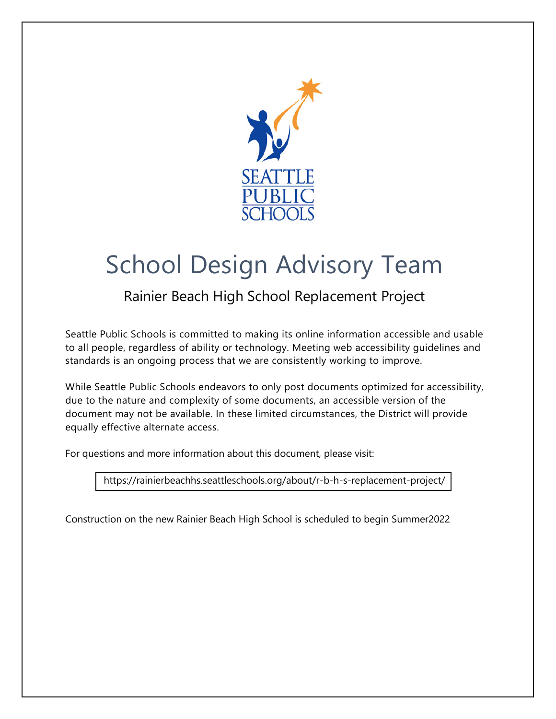

# School Design Advisory Team

## Rainier Beach High School Replacement Project

Seattle Public Schools is committed to making its online information accessible and usable to all people, regardless of ability or technology. Meeting web accessibility guidelines and standards is an ongoing process that we are consistently working to improve.

While Seattle Public Schools endeavors to only post documents optimized for accessibility, due to the nature and complexity of some documents, an accessible version of the document may not be available. In these limited circumstances, the District will provide equally effective alternate access.

For questions and more information about this document, please visit:

<https://rainierbeachhs.seattleschools.org/about/r-b-h-s-replacement-project/>

Construction on the new Rainier Beach High School is scheduled to begin Summer2022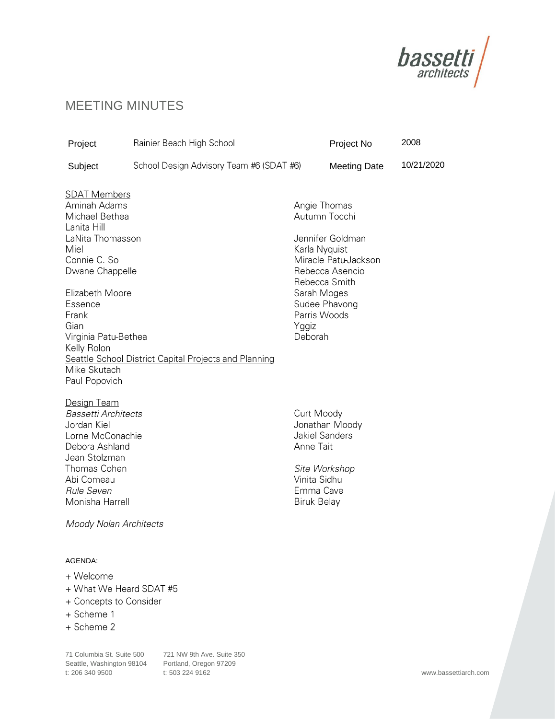

### MEETING MINUTES

| Project                                                                                                                                                                                                                   | Rainier Beach High School                |                                                                                                     | Project No                                                                                                     | 2008       |
|---------------------------------------------------------------------------------------------------------------------------------------------------------------------------------------------------------------------------|------------------------------------------|-----------------------------------------------------------------------------------------------------|----------------------------------------------------------------------------------------------------------------|------------|
| Subject                                                                                                                                                                                                                   | School Design Advisory Team #6 (SDAT #6) |                                                                                                     | <b>Meeting Date</b>                                                                                            | 10/21/2020 |
| <b>SDAT Members</b><br>Aminah Adams<br>Michael Bethea<br>Lanita Hill<br>LaNita Thomasson<br>Miel<br>Connie C. So<br>Dwane Chappelle<br>Elizabeth Moore<br>Essence<br>Frank<br>Gian<br>Virginia Patu-Bethea<br>Kelly Rolon |                                          | Angie Thomas<br>Karla Nyquist<br>Sarah Moges<br>Parris Woods<br>Yggiz<br>Deborah                    | Autumn Tocchi<br>Jennifer Goldman<br>Miracle Patu-Jackson<br>Rebecca Asencio<br>Rebecca Smith<br>Sudee Phavong |            |
| Seattle School District Capital Projects and Planning<br>Mike Skutach                                                                                                                                                     |                                          |                                                                                                     |                                                                                                                |            |
| Paul Popovich<br>Design Team<br><b>Bassetti Architects</b><br>Jordan Kiel<br>Lorne McConachie<br>Debora Ashland<br>Jean Stolzman<br>Thomas Cohen<br>Abi Comeau<br>Rule Seven<br>Monisha Harrell                           |                                          | Curt Moody<br><b>Jakiel Sanders</b><br>Anne Tait<br>Vinita Sidhu<br>Emma Cave<br><b>Biruk Belay</b> | Jonathan Moody<br>Site Workshop                                                                                |            |
| Moody Nolan Architects                                                                                                                                                                                                    |                                          |                                                                                                     |                                                                                                                |            |
| AGENDA:<br>+ Welcome<br>+ What We Heard SDAT #5<br>+ Concepts to Consider                                                                                                                                                 |                                          |                                                                                                     |                                                                                                                |            |

- + Scheme 1
- + Scheme 2

71 Columbia St. Suite 500 721 NW 9th Ave. Suite 350 Seattle, Washington 98104 Portland, Oregon 97209<br>t: 206 340 9500 t: 503 224 9162 t: 206 340 9500 t: 503 224 9162 www.bassettiarch.com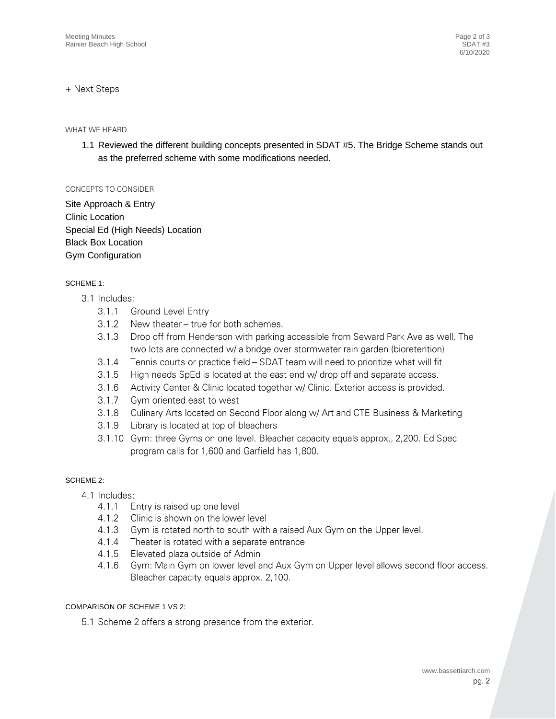#### + Next Steps

#### WHAT WE HEARD

1.1 Reviewed the different building concepts presented in SDAT #5. The Bridge Scheme stands out as the preferred scheme with some modifications needed.

#### CONCEPTS TO CONSIDER

Site Approach & Entry Clinic Location Special Ed (High Needs) Location Black Box Location Gym Configuration

#### SCHEME 1:

- 3.1 Includes:
	- $3.1.1$ **Ground Level Entry**
	- $3.1.2$ New theater - true for both schemes.
	- Drop off from Henderson with parking accessible from Seward Park Ave as well. The  $3.1.3$ two lots are connected w/ a bridge over stormwater rain garden (bioretention)
	- $3.1.4$ Tennis courts or practice field – SDAT team will need to prioritize what will fit
	- $3.1.5$ High needs SpEd is located at the east end w/ drop off and separate access.
	- $3.1.6$ Activity Center & Clinic located together w/ Clinic. Exterior access is provided.
	- $3.1.7$ Gym oriented east to west
	- $3.1.8$ Culinary Arts located on Second Floor along w/ Art and CTE Business & Marketing
	- 3.1.9 Library is located at top of bleachers
	- 3.1.10 Gym: three Gyms on one level. Bleacher capacity equals approx., 2,200. Ed Spec program calls for 1,600 and Garfield has 1,800.

#### SCHEME 2:

- 4.1 Includes:
	- Entry is raised up one level  $4.1.1$
	- $4.1.2$ Clinic is shown on the lower level
	- $4.1.3$ Gym is rotated north to south with a raised Aux Gym on the Upper level.
	- $4.1.4$ Theater is rotated with a separate entrance
	- 4.1.5 Elevated plaza outside of Admin
	- 4.1.6 Gym: Main Gym on lower level and Aux Gym on Upper level allows second floor access. Bleacher capacity equals approx. 2,100.

#### COMPARISON OF SCHEME 1 VS 2:

5.1 Scheme 2 offers a strong presence from the exterior.